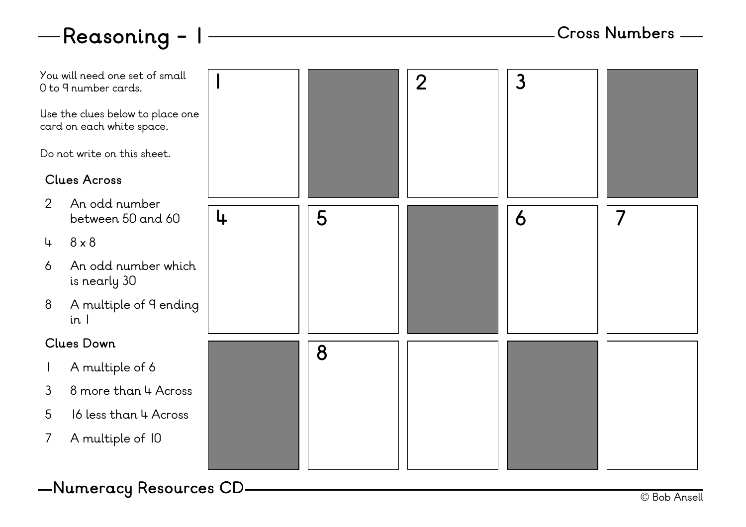



© Bob Ansell **Numeracy Resources CD**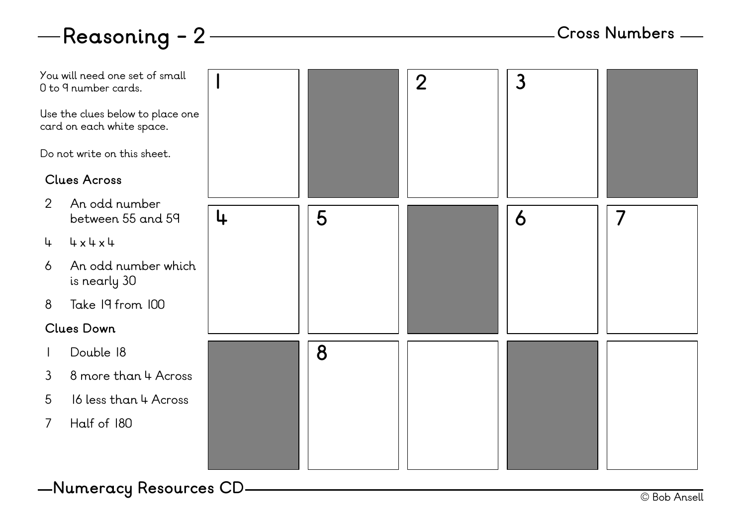

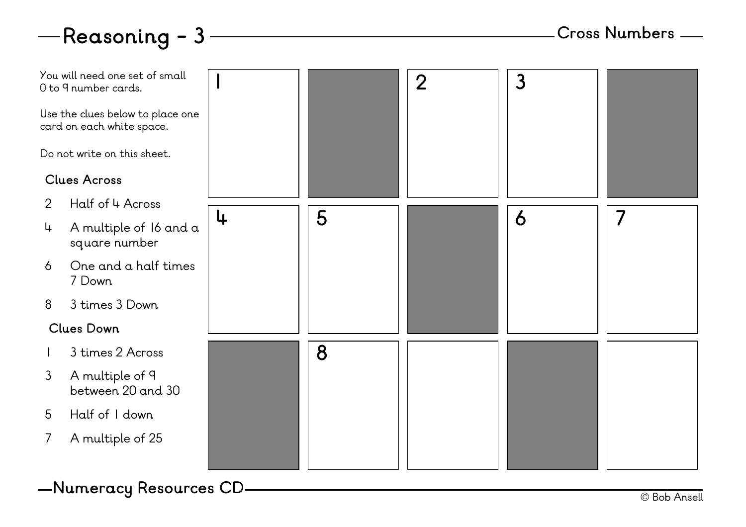## **Reasoning - 3**



© Bob Ansell **Numeracy Resources CD**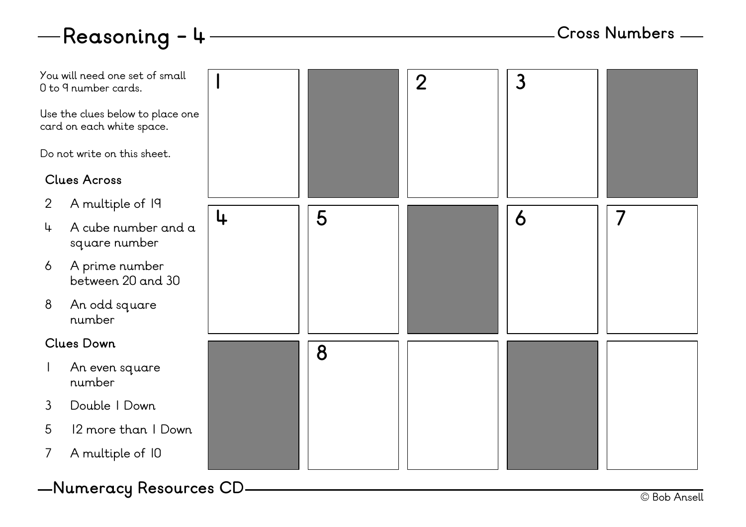



© Bob Ansell **Numeracy Resources CD**